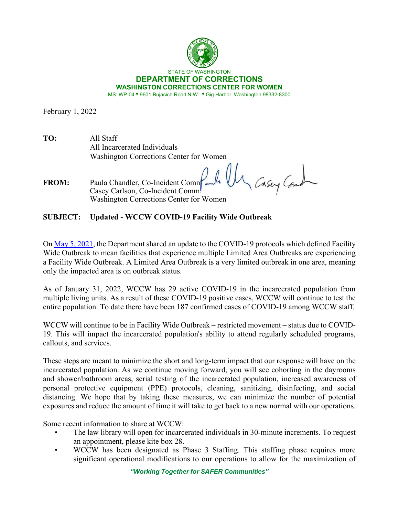

February 1, 2022

| TO: | All Staff                               |
|-----|-----------------------------------------|
|     | All Incarcerated Individuals            |
|     | Washington Corrections Center for Women |

Un Casey Com **FROM:** Paula Chandler, Co-Incident Commander Casey Carlson, Co-Incident Comm Washington Corrections Center for Women

**SUBJECT: Updated - WCCW COVID-19 Facility Wide Outbreak**

On [May 5, 2021,](https://doc.wa.gov/corrections/covid-19/docs/2021-0505-interested-parties-memo-updated-covid-19-outbreak-definitions.pdf) the Department shared an update to the COVID-19 protocols which defined Facility Wide Outbreak to mean facilities that experience multiple Limited Area Outbreaks are experiencing a Facility Wide Outbreak. A Limited Area Outbreak is a very limited outbreak in one area, meaning only the impacted area is on outbreak status.

As of January 31, 2022, WCCW has 29 active COVID-19 in the incarcerated population from multiple living units. As a result of these COVID-19 positive cases, WCCW will continue to test the entire population. To date there have been 187 confirmed cases of COVID-19 among WCCW staff.

WCCW will continue to be in Facility Wide Outbreak – restricted movement – status due to COVID-19. This will impact the incarcerated population's ability to attend regularly scheduled programs, callouts, and services.

These steps are meant to minimize the short and long-term impact that our response will have on the incarcerated population. As we continue moving forward, you will see cohorting in the dayrooms and shower/bathroom areas, serial testing of the incarcerated population, increased awareness of personal protective equipment (PPE) protocols, cleaning, sanitizing, disinfecting, and social distancing. We hope that by taking these measures, we can minimize the number of potential exposures and reduce the amount of time it will take to get back to a new normal with our operations.

Some recent information to share at WCCW:

- The law library will open for incarcerated individuals in 30-minute increments. To request an appointment, please kite box 28.
- WCCW has been designated as Phase 3 Staffing. This staffing phase requires more significant operational modifications to our operations to allow for the maximization of

*"Working Together for SAFER Communities"*